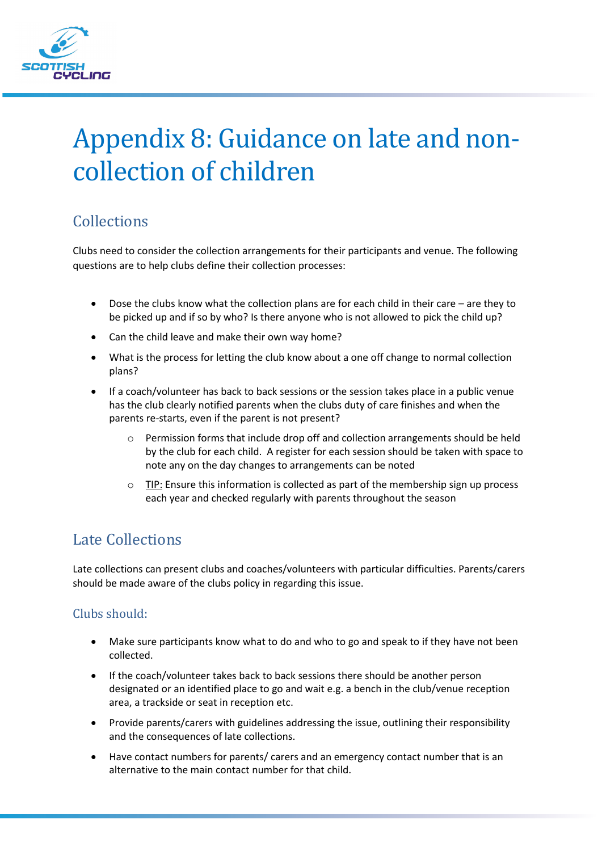

# Appendix 8: Guidance on late and noncollection of children

## **Collections**

Clubs need to consider the collection arrangements for their participants and venue. The following questions are to help clubs define their collection processes:

- Dose the clubs know what the collection plans are for each child in their care are they to be picked up and if so by who? Is there anyone who is not allowed to pick the child up?
- Can the child leave and make their own way home?
- What is the process for letting the club know about a one off change to normal collection plans?
- If a coach/volunteer has back to back sessions or the session takes place in a public venue has the club clearly notified parents when the clubs duty of care finishes and when the parents re-starts, even if the parent is not present?
	- $\circ$  Permission forms that include drop off and collection arrangements should be held by the club for each child. A register for each session should be taken with space to note any on the day changes to arrangements can be noted
	- $\circ$  TIP: Ensure this information is collected as part of the membership sign up process each year and checked regularly with parents throughout the season

## Late Collections

Late collections can present clubs and coaches/volunteers with particular difficulties. Parents/carers should be made aware of the clubs policy in regarding this issue.

#### Clubs should:

- Make sure participants know what to do and who to go and speak to if they have not been collected.
- If the coach/volunteer takes back to back sessions there should be another person designated or an identified place to go and wait e.g. a bench in the club/venue reception area, a trackside or seat in reception etc.
- Provide parents/carers with guidelines addressing the issue, outlining their responsibility and the consequences of late collections.
- Have contact numbers for parents/ carers and an emergency contact number that is an alternative to the main contact number for that child.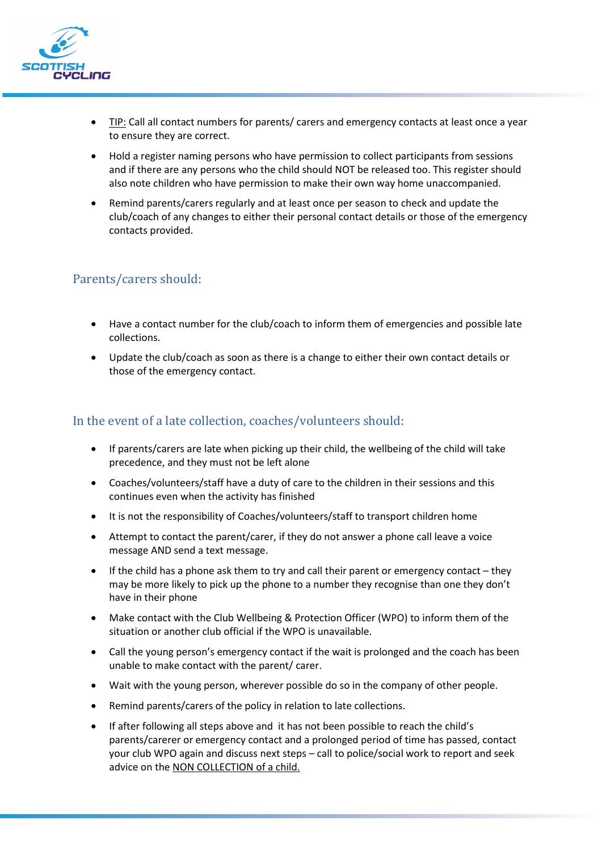

- TIP: Call all contact numbers for parents/ carers and emergency contacts at least once a year to ensure they are correct.
- Hold a register naming persons who have permission to collect participants from sessions and if there are any persons who the child should NOT be released too. This register should also note children who have permission to make their own way home unaccompanied.
- Remind parents/carers regularly and at least once per season to check and update the club/coach of any changes to either their personal contact details or those of the emergency contacts provided.

#### Parents/carers should:

- Have a contact number for the club/coach to inform them of emergencies and possible late collections.
- Update the club/coach as soon as there is a change to either their own contact details or those of the emergency contact.

#### In the event of a late collection, coaches/volunteers should:

- If parents/carers are late when picking up their child, the wellbeing of the child will take precedence, and they must not be left alone
- Coaches/volunteers/staff have a duty of care to the children in their sessions and this continues even when the activity has finished
- It is not the responsibility of Coaches/volunteers/staff to transport children home
- Attempt to contact the parent/carer, if they do not answer a phone call leave a voice message AND send a text message.
- If the child has a phone ask them to try and call their parent or emergency contact they may be more likely to pick up the phone to a number they recognise than one they don't have in their phone
- Make contact with the Club Wellbeing & Protection Officer (WPO) to inform them of the situation or another club official if the WPO is unavailable.
- Call the young person's emergency contact if the wait is prolonged and the coach has been unable to make contact with the parent/ carer.
- Wait with the young person, wherever possible do so in the company of other people.
- Remind parents/carers of the policy in relation to late collections.
- If after following all steps above and it has not been possible to reach the child's parents/carerer or emergency contact and a prolonged period of time has passed, contact your club WPO again and discuss next steps – call to police/social work to report and seek advice on the NON COLLECTION of a child.